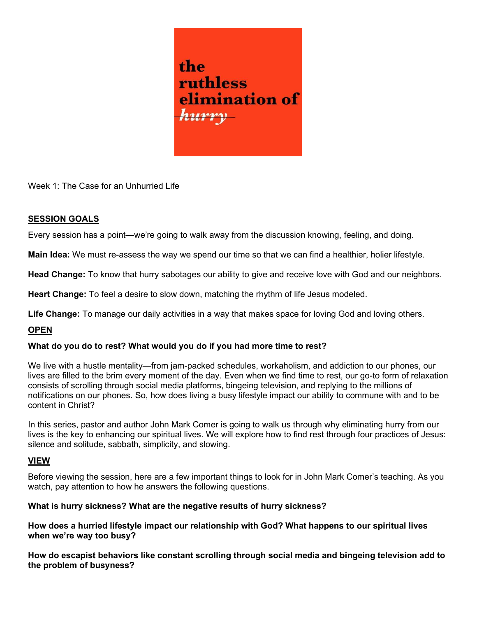

Week 1: The Case for an Unhurried Life

## SESSION GOALS

Every session has a point—we're going to walk away from the discussion knowing, feeling, and doing.

Main Idea: We must re-assess the way we spend our time so that we can find a healthier, holier lifestyle.

Head Change: To know that hurry sabotages our ability to give and receive love with God and our neighbors.

Heart Change: To feel a desire to slow down, matching the rhythm of life Jesus modeled.

Life Change: To manage our daily activities in a way that makes space for loving God and loving others.

# **OPEN**

## What do you do to rest? What would you do if you had more time to rest?

We live with a hustle mentality—from jam-packed schedules, workaholism, and addiction to our phones, our lives are filled to the brim every moment of the day. Even when we find time to rest, our go-to form of relaxation consists of scrolling through social media platforms, bingeing television, and replying to the millions of notifications on our phones. So, how does living a busy lifestyle impact our ability to commune with and to be content in Christ?

In this series, pastor and author John Mark Comer is going to walk us through why eliminating hurry from our lives is the key to enhancing our spiritual lives. We will explore how to find rest through four practices of Jesus: silence and solitude, sabbath, simplicity, and slowing.

## VIEW

Before viewing the session, here are a few important things to look for in John Mark Comer's teaching. As you watch, pay attention to how he answers the following questions.

## What is hurry sickness? What are the negative results of hurry sickness?

How does a hurried lifestyle impact our relationship with God? What happens to our spiritual lives when we're way too busy?

How do escapist behaviors like constant scrolling through social media and bingeing television add to the problem of busyness?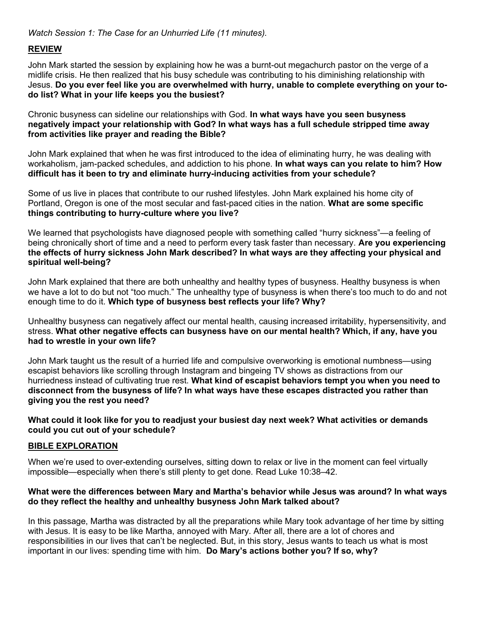Watch Session 1: The Case for an Unhurried Life (11 minutes).

## REVIEW

John Mark started the session by explaining how he was a burnt-out megachurch pastor on the verge of a midlife crisis. He then realized that his busy schedule was contributing to his diminishing relationship with Jesus. Do you ever feel like you are overwhelmed with hurry, unable to complete everything on your todo list? What in your life keeps you the busiest?

Chronic busyness can sideline our relationships with God. In what ways have you seen busyness negatively impact your relationship with God? In what ways has a full schedule stripped time away from activities like prayer and reading the Bible?

John Mark explained that when he was first introduced to the idea of eliminating hurry, he was dealing with workaholism, jam-packed schedules, and addiction to his phone. In what ways can you relate to him? How difficult has it been to try and eliminate hurry-inducing activities from your schedule?

Some of us live in places that contribute to our rushed lifestyles. John Mark explained his home city of Portland, Oregon is one of the most secular and fast-paced cities in the nation. What are some specific things contributing to hurry-culture where you live?

We learned that psychologists have diagnosed people with something called "hurry sickness"—a feeling of being chronically short of time and a need to perform every task faster than necessary. Are you experiencing the effects of hurry sickness John Mark described? In what ways are they affecting your physical and spiritual well-being?

John Mark explained that there are both unhealthy and healthy types of busyness. Healthy busyness is when we have a lot to do but not "too much." The unhealthy type of busyness is when there's too much to do and not enough time to do it. Which type of busyness best reflects your life? Why?

Unhealthy busyness can negatively affect our mental health, causing increased irritability, hypersensitivity, and stress. What other negative effects can busyness have on our mental health? Which, if any, have you had to wrestle in your own life?

John Mark taught us the result of a hurried life and compulsive overworking is emotional numbness—using escapist behaviors like scrolling through Instagram and bingeing TV shows as distractions from our hurriedness instead of cultivating true rest. What kind of escapist behaviors tempt you when you need to disconnect from the busyness of life? In what ways have these escapes distracted you rather than giving you the rest you need?

What could it look like for you to readjust your busiest day next week? What activities or demands could you cut out of your schedule?

## BIBLE EXPLORATION

When we're used to over-extending ourselves, sitting down to relax or live in the moment can feel virtually impossible—especially when there's still plenty to get done. Read Luke 10:38–42.

#### What were the differences between Mary and Martha's behavior while Jesus was around? In what ways do they reflect the healthy and unhealthy busyness John Mark talked about?

In this passage, Martha was distracted by all the preparations while Mary took advantage of her time by sitting with Jesus. It is easy to be like Martha, annoyed with Mary. After all, there are a lot of chores and responsibilities in our lives that can't be neglected. But, in this story, Jesus wants to teach us what is most important in our lives: spending time with him. Do Mary's actions bother you? If so, why?